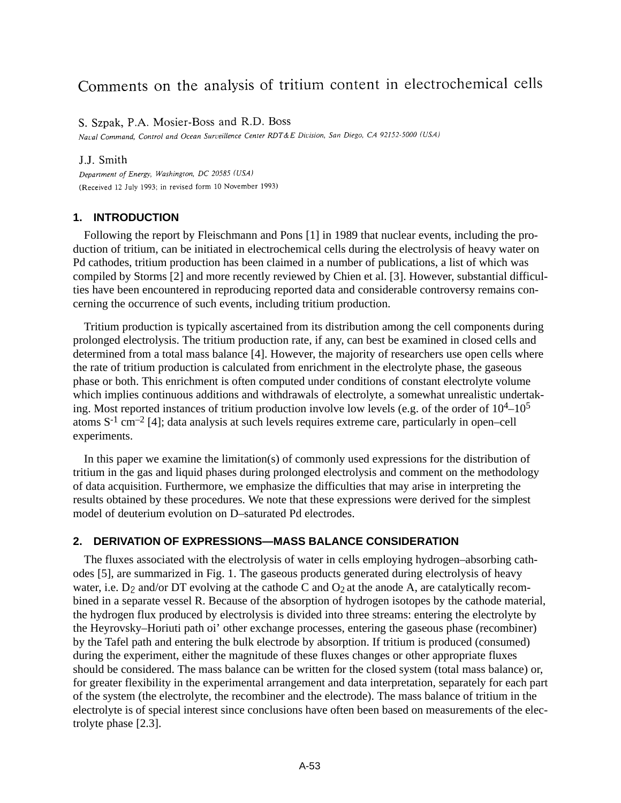# Comments on the analysis of tritium content in electrochemical cells

S. Szpak, P.A. Mosier-Boss and R.D. Boss

Naval Command, Control and Ocean Surveillence Center RDT&E Division, San Diego, CA 92152-5000 (USA)

#### J.J. Smith

Department of Energy, Washington, DC 20585 (USA) (Received 12 July 1993; in revised form 10 November 1993)

## **1. INTRODUCTION**

Following the report by Fleischmann and Pons [1] in 1989 that nuclear events, including the production of tritium, can be initiated in electrochemical cells during the electrolysis of heavy water on Pd cathodes, tritium production has been claimed in a number of publications, a list of which was compiled by Storms [2] and more recently reviewed by Chien et al. [3]. However, substantial difficulties have been encountered in reproducing reported data and considerable controversy remains concerning the occurrence of such events, including tritium production.

Tritium production is typically ascertained from its distribution among the cell components during prolonged electrolysis. The tritium production rate, if any, can best be examined in closed cells and determined from a total mass balance [4]. However, the majority of researchers use open cells where the rate of tritium production is calculated from enrichment in the electrolyte phase, the gaseous phase or both. This enrichment is often computed under conditions of constant electrolyte volume which implies continuous additions and withdrawals of electrolyte, a somewhat unrealistic undertaking. Most reported instances of tritium production involve low levels (e.g. of the order of  $10^4$ – $10^5$ atoms  $S^{-1}$  cm<sup>-2</sup> [4]; data analysis at such levels requires extreme care, particularly in open–cell experiments.

In this paper we examine the limitation(s) of commonly used expressions for the distribution of tritium in the gas and liquid phases during prolonged electrolysis and comment on the methodology of data acquisition. Furthermore, we emphasize the difficulties that may arise in interpreting the results obtained by these procedures. We note that these expressions were derived for the simplest model of deuterium evolution on D–saturated Pd electrodes.

## **2. DERIVATION OF EXPRESSIONS—MASS BALANCE CONSIDERATION**

The fluxes associated with the electrolysis of water in cells employing hydrogen–absorbing cathodes [5], are summarized in Fig. 1. The gaseous products generated during electrolysis of heavy water, i.e.  $D_2$  and/or DT evolving at the cathode C and  $O_2$  at the anode A, are catalytically recombined in a separate vessel R. Because of the absorption of hydrogen isotopes by the cathode material, the hydrogen flux produced by electrolysis is divided into three streams: entering the electrolyte by the Heyrovsky–Horiuti path oi' other exchange processes, entering the gaseous phase (recombiner) by the Tafel path and entering the bulk electrode by absorption. If tritium is produced (consumed) during the experiment, either the magnitude of these fluxes changes or other appropriate fluxes should be considered. The mass balance can be written for the closed system (total mass balance) or, for greater flexibility in the experimental arrangement and data interpretation, separately for each part of the system (the electrolyte, the recombiner and the electrode). The mass balance of tritium in the electrolyte is of special interest since conclusions have often been based on measurements of the electrolyte phase [2.3].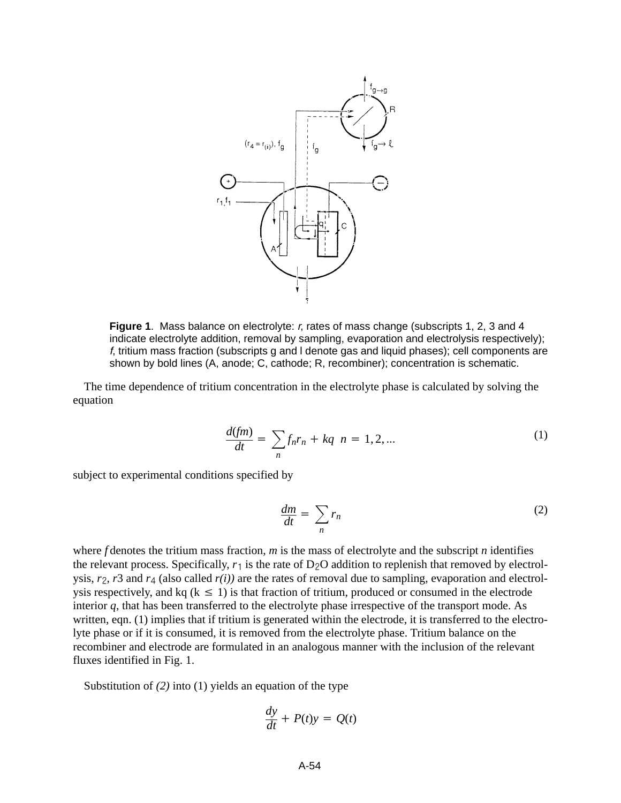

**Figure 1**. Mass balance on electrolyte: r, rates of mass change (subscripts 1, 2, 3 and 4 indicate electrolyte addition, removal by sampling, evaporation and electrolysis respectively); f, tritium mass fraction (subscripts g and l denote gas and liquid phases); cell components are shown by bold lines (A, anode; C, cathode; R, recombiner); concentration is schematic.

The time dependence of tritium concentration in the electrolyte phase is calculated by solving the equation

$$
\frac{d(fm)}{dt} = \sum_{n} f_n r_n + kq \ n = 1, 2, ... \tag{1}
$$

subject to experimental conditions specified by

$$
\frac{dm}{dt} = \sum_{n} r_n \tag{2}
$$

where *f* denotes the tritium mass fraction, *m* is the mass of electrolyte and the subscript *n* identifies the relevant process. Specifically,  $r_1$  is the rate of D<sub>2</sub>O addition to replenish that removed by electrolysis,  $r_2$ ,  $r_3$  and  $r_4$  (also called  $r(i)$ ) are the rates of removal due to sampling, evaporation and electrolysis respectively, and kq ( $k \le 1$ ) is that fraction of tritium, produced or consumed in the electrode interior *q*, that has been transferred to the electrolyte phase irrespective of the transport mode. As written, eqn. (1) implies that if tritium is generated within the electrode, it is transferred to the electrolyte phase or if it is consumed, it is removed from the electrolyte phase. Tritium balance on the recombiner and electrode are formulated in an analogous manner with the inclusion of the relevant fluxes identified in Fig. 1.

Substitution of *(2)* into (1) yields an equation of the type

$$
\frac{dy}{dt} + P(t)y = Q(t)
$$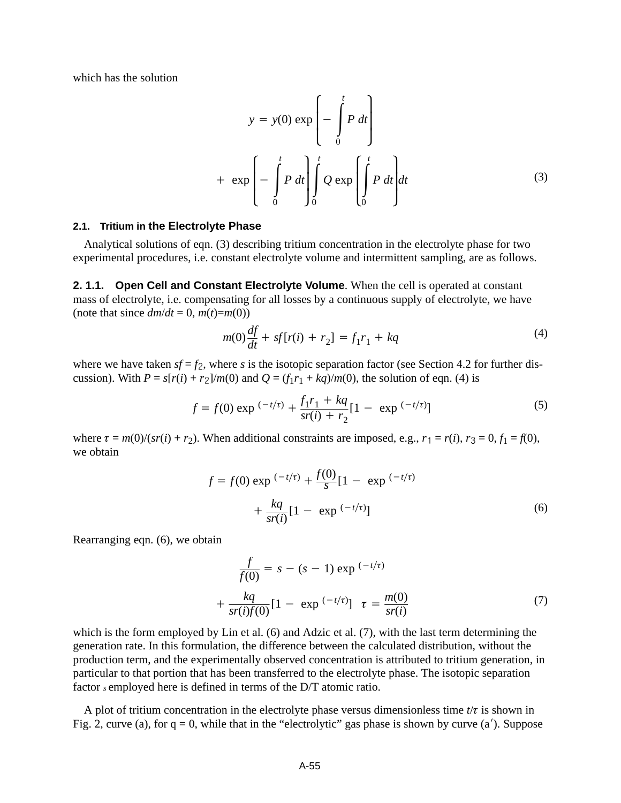which has the solution

$$
y = y(0) \exp\left(-\int_{0}^{t} P dt\right)
$$
  
+ 
$$
\exp\left(-\int_{0}^{t} P dt\right) \int_{0}^{t} Q \exp\left(\int_{0}^{t} P dt\right) dt
$$
 (3)

#### **2.1. Tritium in the Electrolyte Phase**

Analytical solutions of eqn. (3) describing tritium concentration in the electrolyte phase for two experimental procedures, i.e. constant electrolyte volume and intermittent sampling, are as follows.

**2. 1.1. Open Cell and Constant Electrolyte Volume**. When the cell is operated at constant mass of electrolyte, i.e. compensating for all losses by a continuous supply of electrolyte, we have (note that since  $dm/dt = 0$ ,  $m(t)=m(0)$ )

$$
m(0)\frac{df}{dt} + sf[r(i) + r_2] = f_1r_1 + kq
$$
\n(4)

where we have taken  $sf = f_2$ , where *s* is the isotopic separation factor (see Section 4.2 for further discussion). With  $P = s[r(i) + r_2]/m(0)$  and  $Q = (f_1r_1 + kq)/m(0)$ , the solution of eqn. (4) is

$$
f = f(0) \exp\left(-t/\tau\right) + \frac{f_1 r_1 + kq}{s r(i) + r_2} [1 - \exp\left(-t/\tau\right)] \tag{5}
$$

where  $\tau = m(0)/(sr(i) + r_2)$ . When additional constraints are imposed, e.g.,  $r_1 = r(i)$ ,  $r_3 = 0$ ,  $f_1 = f(0)$ , we obtain

$$
f = f(0) \exp^{(-t/\tau)} + \frac{f(0)}{s} [1 - \exp^{(-t/\tau)}] + \frac{kq}{sr(i)} [1 - \exp^{(-t/\tau)}]
$$
(6)

Rearranging eqn. (6), we obtain

$$
\frac{f}{f(0)} = s - (s - 1) \exp^{(-t/\tau)} \n+ \frac{kq}{sr(i)f(0)} [1 - \exp^{(-t/\tau)}] \tau = \frac{m(0)}{sr(i)}
$$
\n(7)

which is the form employed by Lin et al. (6) and Adzic et al. (7), with the last term determining the generation rate. In this formulation, the difference between the calculated distribution, without the production term, and the experimentally observed concentration is attributed to tritium generation, in particular to that portion that has been transferred to the electrolyte phase. The isotopic separation factor *s* employed here is defined in terms of the D/T atomic ratio.

A plot of tritium concentration in the electrolyte phase versus dimensionless time  $t/\tau$  is shown in Fig. 2, curve (a), for  $q = 0$ , while that in the "electrolytic" gas phase is shown by curve (a'). Suppose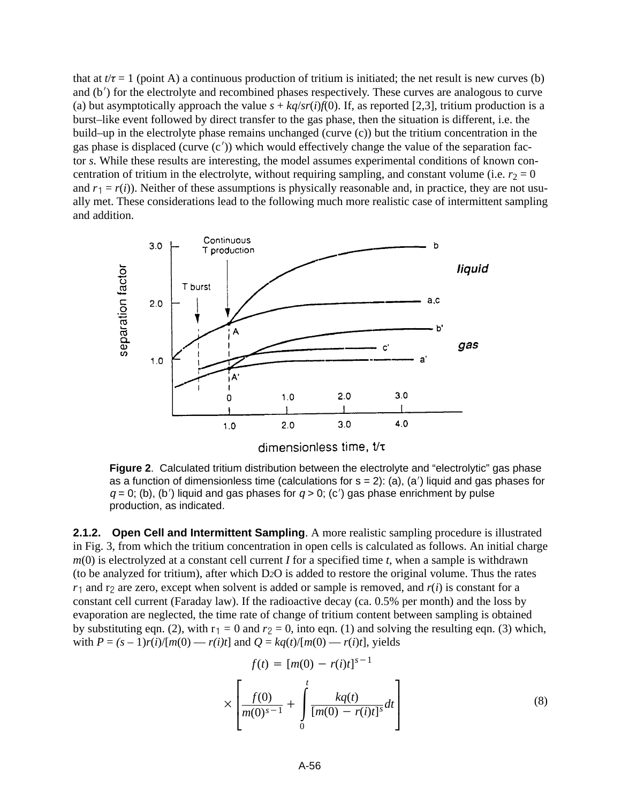that at  $t/\tau = 1$  (point A) a continuous production of tritium is initiated; the net result is new curves (b) and  $(b')$  for the electrolyte and recombined phases respectively. These curves are analogous to curve (a) but asymptotically approach the value  $s + kq/sr(i)f(0)$ . If, as reported [2,3], tritium production is a burst–like event followed by direct transfer to the gas phase, then the situation is different, i.e. the build–up in the electrolyte phase remains unchanged (curve (c)) but the tritium concentration in the gas phase is displaced (curve  $(c')$ ) which would effectively change the value of the separation factor *s*. While these results are interesting, the model assumes experimental conditions of known concentration of tritium in the electrolyte, without requiring sampling, and constant volume (i.e.  $r_2 = 0$ ) and  $r_1 = r(i)$ ). Neither of these assumptions is physically reasonable and, in practice, they are not usually met. These considerations lead to the following much more realistic case of intermittent sampling and addition.



**Figure 2**. Calculated tritium distribution between the electrolyte and "electrolytic" gas phase as a function of dimensionless time (calculations for  $s = 2$ ): (a), (a') liquid and gas phases for  $q = 0$ ; (b), (b') liquid and gas phases for  $q > 0$ ; (c') gas phase enrichment by pulse production, as indicated.

**2.1.2. Open Cell and Intermittent Sampling**. A more realistic sampling procedure is illustrated in Fig. 3, from which the tritium concentration in open cells is calculated as follows. An initial charge *m*(0) is electrolyzed at a constant cell current *I* for a specified time *t*, when a sample is withdrawn (to be analyzed for tritium), after which D*2*O is added to restore the original volume. Thus the rates  $r_1$  and  $r_2$  are zero, except when solvent is added or sample is removed, and  $r(i)$  is constant for a constant cell current (Faraday law). If the radioactive decay (ca. 0.5% per month) and the loss by evaporation are neglected, the time rate of change of tritium content between sampling is obtained by substituting eqn. (2), with  $r_1 = 0$  and  $r_2 = 0$ , into eqn. (1) and solving the resulting eqn. (3) which, with  $P = (s - 1)r(i)/[m(0) - r(i)t]$  and  $Q = kq(t)/[m(0) - r(i)t]$ , yields

$$
f(t) = [m(0) - r(i)t]^{s-1}
$$
  
 
$$
\times \left[ \frac{f(0)}{m(0)^{s-1}} + \int_{0}^{t} \frac{kq(t)}{[m(0) - r(i)t]^{s}} dt \right]
$$
 (8)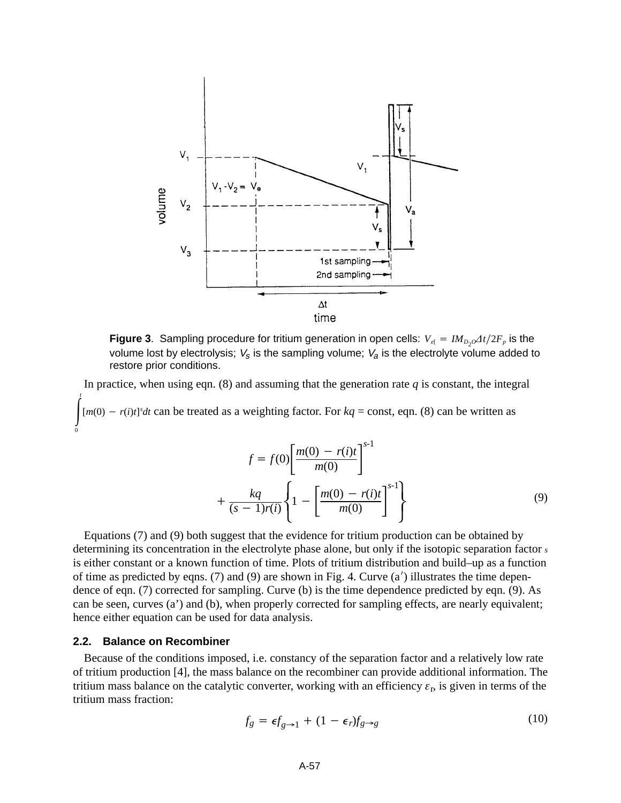

**Figure 3**. Sampling procedure for tritium generation in open cells:  $V_{e} = IM_{D2} \Delta t / 2F_p$  is the volume lost by electrolysis;  $V_s$  is the sampling volume;  $V_a$  is the electrolyte volume added to restore prior conditions.

In practice, when using eqn.  $(8)$  and assuming that the generation rate  $q$  is constant, the integral  $\int_0^t$ *t*  $[m(0) - r(i)t]^s dt$  can be treated as a weighting factor. For  $kq = \text{const}$ , eqn. (8) can be written as

$$
f = f(0) \left[ \frac{m(0) - r(i)t}{m(0)} \right]^{s-1}
$$

$$
+ \frac{kq}{(s-1)r(i)} \left\{ 1 - \left[ \frac{m(0) - r(i)t}{m(0)} \right]^{s-1} \right\}
$$
(9)

Equations (7) and (9) both suggest that the evidence for tritium production can be obtained by determining its concentration in the electrolyte phase alone, but only if the isotopic separation factor *<sup>s</sup>* is either constant or a known function of time. Plots of tritium distribution and build–up as a function of time as predicted by eqns. (7) and (9) are shown in Fig. 4. Curve  $(a')$  illustrates the time dependence of eqn. (7) corrected for sampling. Curve (b) is the time dependence predicted by eqn. (9). As can be seen, curves (a') and (b), when properly corrected for sampling effects, are nearly equivalent; hence either equation can be used for data analysis.

#### **2.2. Balance on Recombiner**

 $\mathbf{0}$ 

Because of the conditions imposed, i.e. constancy of the separation factor and a relatively low rate of tritium production [4], the mass balance on the recombiner can provide additional information. The tritium mass balance on the catalytic converter, working with an efficiency  $\varepsilon_r$ , is given in terms of the tritium mass fraction:

$$
f_g = \epsilon f_{g \to 1} + (1 - \epsilon_r) f_{g \to g} \tag{10}
$$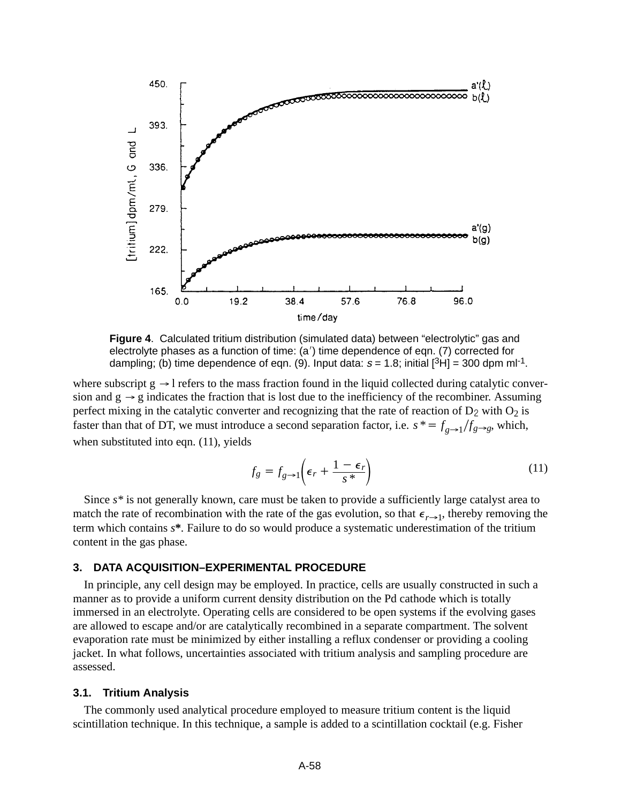

**Figure 4**. Calculated tritium distribution (simulated data) between "electrolytic" gas and electrolyte phases as a function of time: (a') time dependence of eqn. (7) corrected for dampling; (b) time dependence of eqn. (9). Input data:  $s = 1.8$ ; initial  $[{}^{3}H] = 300$  dpm ml<sup>-1</sup>.

where subscript  $g \rightarrow l$  refers to the mass fraction found in the liquid collected during catalytic conversion and  $g \rightarrow g$  indicates the fraction that is lost due to the inefficiency of the recombiner. Assuming perfect mixing in the catalytic converter and recognizing that the rate of reaction of  $D_2$  with  $O_2$  is faster than that of DT, we must introduce a second separation factor, i.e.  $s^* = f_{g\rightarrow 1}/f_{g\rightarrow g}$ , which, when substituted into eqn. (11), yields

$$
f_g = f_{g \to 1} \left( \epsilon_r + \frac{1 - \epsilon_r}{s^*} \right)
$$
 (11)

Since  $s^*$  is not generally known, care must be taken to provide a sufficiently large catalyst area to match the rate of recombination with the rate of the gas evolution, so that  $\epsilon_{r\rightarrow 1}$ , thereby removing the term which contains *s***\****.* Failure to do so would produce a systematic underestimation of the tritium content in the gas phase.

#### **3. DATA ACQUISITION–EXPERIMENTAL PROCEDURE**

In principle, any cell design may be employed. In practice, cells are usually constructed in such a manner as to provide a uniform current density distribution on the Pd cathode which is totally immersed in an electrolyte. Operating cells are considered to be open systems if the evolving gases are allowed to escape and/or are catalytically recombined in a separate compartment. The solvent evaporation rate must be minimized by either installing a reflux condenser or providing a cooling jacket. In what follows, uncertainties associated with tritium analysis and sampling procedure are assessed.

#### **3.1. Tritium Analysis**

The commonly used analytical procedure employed to measure tritium content is the liquid scintillation technique. In this technique, a sample is added to a scintillation cocktail (e.g. Fisher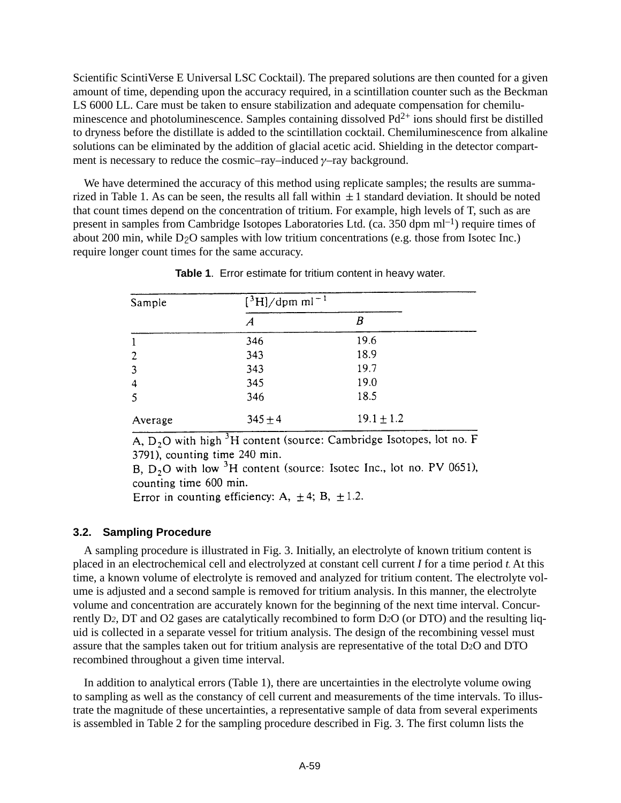Scientific ScintiVerse E Universal LSC Cocktail). The prepared solutions are then counted for a given amount of time, depending upon the accuracy required, in a scintillation counter such as the Beckman LS 6000 LL. Care must be taken to ensure stabilization and adequate compensation for chemiluminescence and photoluminescence. Samples containing dissolved  $Pd^{2+}$  ions should first be distilled to dryness before the distillate is added to the scintillation cocktail. Chemiluminescence from alkaline solutions can be eliminated by the addition of glacial acetic acid. Shielding in the detector compartment is necessary to reduce the cosmic–ray–induced  $\gamma$ –ray background.

We have determined the accuracy of this method using replicate samples; the results are summarized in Table 1. As can be seen, the results all fall within  $\pm 1$  standard deviation. It should be noted that count times depend on the concentration of tritium. For example, high levels of T, such as are present in samples from Cambridge Isotopes Laboratories Ltd. (ca. 350 dpm  $ml^{-1}$ ) require times of about 200 min, while  $D_2O$  samples with low tritium concentrations (e.g. those from Isotec Inc.) require longer count times for the same accuracy.

| Sample  | $[3H]/dpm$ ml <sup>-1</sup> |                |  |
|---------|-----------------------------|----------------|--|
|         | $\mathcal A$                | Β              |  |
|         | 346                         | 19.6           |  |
| 2       | 343                         | 18.9           |  |
| 3       | 343                         | 19.7           |  |
| 4       | 345                         | 19.0           |  |
|         | 346                         | 18.5           |  |
| Average | $345 + 4$                   | $19.1 \pm 1.2$ |  |

**Table 1**. Error estimate for tritium content in heavy water.

A,  $D_2O$  with high  ${}^3H$  content (source: Cambridge Isotopes, lot no. F 3791), counting time 240 min.

B,  $D_2O$  with low <sup>3</sup>H content (source: Isotec Inc., lot no. PV 0651), counting time 600 min.

Error in counting efficiency: A,  $\pm 4$ ; B,  $\pm 1.2$ .

### **3.2. Sampling Procedure**

A sampling procedure is illustrated in Fig. 3. Initially, an electrolyte of known tritium content is placed in an electrochemical cell and electrolyzed at constant cell current *I* for a time period *t.* At this time, a known volume of electrolyte is removed and analyzed for tritium content. The electrolyte volume is adjusted and a second sample is removed for tritium analysis. In this manner, the electrolyte volume and concentration are accurately known for the beginning of the next time interval. Concurrently D*2*, DT and O2 gases are catalytically recombined to form D*2*O (or DTO) and the resulting liquid is collected in a separate vessel for tritium analysis. The design of the recombining vessel must assure that the samples taken out for tritium analysis are representative of the total D2O and DTO recombined throughout a given time interval.

In addition to analytical errors (Table 1), there are uncertainties in the electrolyte volume owing to sampling as well as the constancy of cell current and measurements of the time intervals. To illustrate the magnitude of these uncertainties, a representative sample of data from several experiments is assembled in Table 2 for the sampling procedure described in Fig. 3. The first column lists the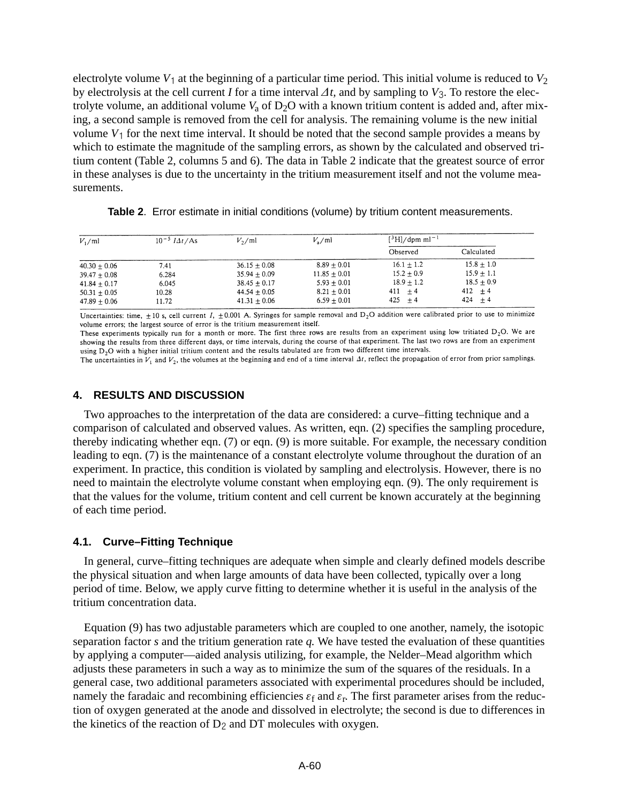electrolyte volume  $V_1$  at the beginning of a particular time period. This initial volume is reduced to  $V_2$ by electrolysis at the cell current *I* for a time interval  $\Delta t$ , and by sampling to  $V_3$ . To restore the electrolyte volume, an additional volume  $V_a$  of  $D_2O$  with a known tritium content is added and, after mixing, a second sample is removed from the cell for analysis. The remaining volume is the new initial volume  $V_1$  for the next time interval. It should be noted that the second sample provides a means by which to estimate the magnitude of the sampling errors, as shown by the calculated and observed tritium content (Table 2, columns 5 and 6). The data in Table 2 indicate that the greatest source of error in these analyses is due to the uncertainty in the tritium measurement itself and not the volume measurements.

| $V_1$ /ml      | $10^{-5}$ <i>IAt</i> /As | $V_2$ /ml      | $V_{\rm s}/\text{ml}$ | $[{}^3H]/dpm$ ml <sup>-1</sup> |              |
|----------------|--------------------------|----------------|-----------------------|--------------------------------|--------------|
|                |                          |                |                       | Observed                       | Calculated   |
| $40.30 + 0.06$ | 7.41                     | $36.15 + 0.08$ | $8.89 + 0.01$         | $16.1 + 1.2$                   | $15.8 + 1.0$ |
| $39.47 + 0.08$ | 6.284                    | $35.94 + 0.09$ | $11.85 + 0.01$        | $15.2 + 0.9$                   | $15.9 + 1.1$ |
| $41.84 + 0.17$ | 6.045                    | $38.45 + 0.17$ | $5.93 + 0.01$         | $18.9 + 1.2$                   | $18.5 + 0.9$ |
| $50.31 + 0.05$ | 10.28                    | $44.54 + 0.05$ | $8.21 + 0.01$         | $411 + 4$                      | $412 + 4$    |
| $47.89 + 0.06$ | 11.72                    | $41.31 + 0.06$ | $6.59 + 0.01$         | $425 + 4$                      | $424 + 4$    |

| Table 2. Error estimate in initial conditions (volume) by tritium content measurements. |
|-----------------------------------------------------------------------------------------|
|-----------------------------------------------------------------------------------------|

Uncertainties: time,  $\pm 10$  s, cell current I,  $\pm 0.001$  A. Syringes for sample removal and D<sub>2</sub>O addition were calibrated prior to use to minimize volume errors; the largest source of error is the tritium measurement itself.

These experiments typically run for a month or more. The first three rows are results from an experiment using low tritiated  $D_2O$ . We are showing the results from three different days, or time intervals, during the course of that experiment. The last two rows are from an experiment using  $D<sub>2</sub>O$  with a higher initial tritium content and the results tabulated are from two different time intervals.

The uncertainties in  $V_1$  and  $V_2$ , the volumes at the beginning and end of a time interval  $\Delta t$ , reflect the propagation of error from prior samplings.

## **4. RESULTS AND DISCUSSION**

Two approaches to the interpretation of the data are considered: a curve–fitting technique and a comparison of calculated and observed values. As written, eqn. (2) specifies the sampling procedure, thereby indicating whether eqn. (7) or eqn. (9) is more suitable. For example, the necessary condition leading to eqn. (7) is the maintenance of a constant electrolyte volume throughout the duration of an experiment. In practice, this condition is violated by sampling and electrolysis. However, there is no need to maintain the electrolyte volume constant when employing eqn. (9). The only requirement is that the values for the volume, tritium content and cell current be known accurately at the beginning of each time period.

#### **4.1. Curve–Fitting Technique**

In general, curve–fitting techniques are adequate when simple and clearly defined models describe the physical situation and when large amounts of data have been collected, typically over a long period of time. Below, we apply curve fitting to determine whether it is useful in the analysis of the tritium concentration data.

Equation (9) has two adjustable parameters which are coupled to one another, namely, the isotopic separation factor *s* and the tritium generation rate *q.* We have tested the evaluation of these quantities by applying a computer—aided analysis utilizing, for example, the Nelder–Mead algorithm which adjusts these parameters in such a way as to minimize the sum of the squares of the residuals. In a general case, two additional parameters associated with experimental procedures should be included, namely the faradaic and recombining efficiencies  $\varepsilon_f$  and  $\varepsilon_r$ . The first parameter arises from the reduction of oxygen generated at the anode and dissolved in electrolyte; the second is due to differences in the kinetics of the reaction of  $D_2$  and DT molecules with oxygen.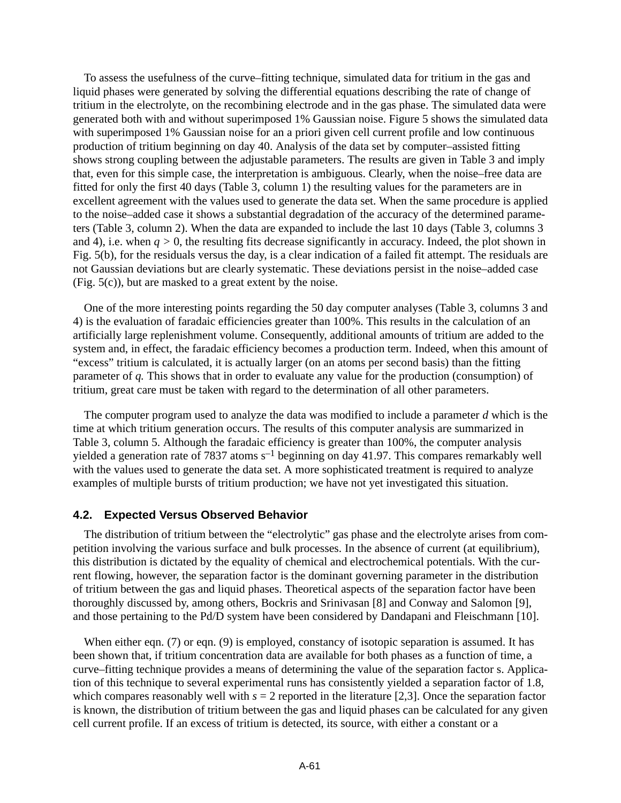To assess the usefulness of the curve–fitting technique, simulated data for tritium in the gas and liquid phases were generated by solving the differential equations describing the rate of change of tritium in the electrolyte, on the recombining electrode and in the gas phase. The simulated data were generated both with and without superimposed 1% Gaussian noise. Figure 5 shows the simulated data with superimposed 1% Gaussian noise for an a priori given cell current profile and low continuous production of tritium beginning on day 40. Analysis of the data set by computer–assisted fitting shows strong coupling between the adjustable parameters. The results are given in Table 3 and imply that, even for this simple case, the interpretation is ambiguous. Clearly, when the noise–free data are fitted for only the first 40 days (Table 3, column 1) the resulting values for the parameters are in excellent agreement with the values used to generate the data set. When the same procedure is applied to the noise–added case it shows a substantial degradation of the accuracy of the determined parameters (Table 3, column 2). When the data are expanded to include the last 10 days (Table 3, columns 3 and 4), i.e. when  $q > 0$ , the resulting fits decrease significantly in accuracy. Indeed, the plot shown in Fig. 5(b), for the residuals versus the day, is a clear indication of a failed fit attempt. The residuals are not Gaussian deviations but are clearly systematic. These deviations persist in the noise–added case (Fig. 5(c)), but are masked to a great extent by the noise.

One of the more interesting points regarding the 50 day computer analyses (Table 3, columns 3 and 4) is the evaluation of faradaic efficiencies greater than 100%. This results in the calculation of an artificially large replenishment volume. Consequently, additional amounts of tritium are added to the system and, in effect, the faradaic efficiency becomes a production term. Indeed, when this amount of "excess" tritium is calculated, it is actually larger (on an atoms per second basis) than the fitting parameter of *q.* This shows that in order to evaluate any value for the production (consumption) of tritium, great care must be taken with regard to the determination of all other parameters.

The computer program used to analyze the data was modified to include a parameter *d* which is the time at which tritium generation occurs. The results of this computer analysis are summarized in Table 3, column 5. Although the faradaic efficiency is greater than 100%, the computer analysis yielded a generation rate of 7837 atoms  $s^{-1}$  beginning on day 41.97. This compares remarkably well with the values used to generate the data set. A more sophisticated treatment is required to analyze examples of multiple bursts of tritium production; we have not yet investigated this situation.

# **4.2. Expected Versus Observed Behavior**

The distribution of tritium between the "electrolytic" gas phase and the electrolyte arises from competition involving the various surface and bulk processes. In the absence of current (at equilibrium), this distribution is dictated by the equality of chemical and electrochemical potentials. With the current flowing, however, the separation factor is the dominant governing parameter in the distribution of tritium between the gas and liquid phases. Theoretical aspects of the separation factor have been thoroughly discussed by, among others, Bockris and Srinivasan [8] and Conway and Salomon [9], and those pertaining to the Pd/D system have been considered by Dandapani and Fleischmann [10].

When either eqn. (7) or eqn. (9) is employed, constancy of isotopic separation is assumed. It has been shown that, if tritium concentration data are available for both phases as a function of time, a curve–fitting technique provides a means of determining the value of the separation factor s. Application of this technique to several experimental runs has consistently yielded a separation factor of 1.8, which compares reasonably well with  $s = 2$  reported in the literature [2,3]. Once the separation factor is known, the distribution of tritium between the gas and liquid phases can be calculated for any given cell current profile. If an excess of tritium is detected, its source, with either a constant or a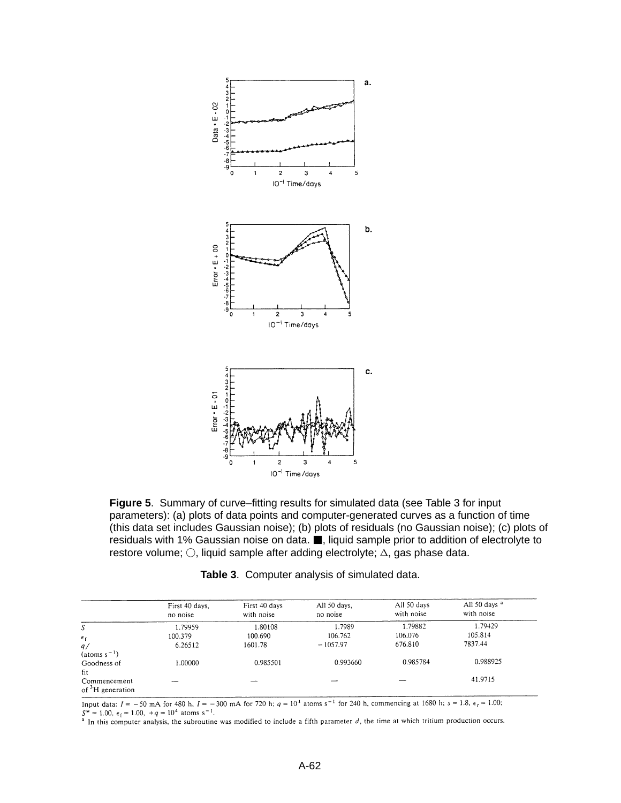

**Figure 5**. Summary of curve–fitting results for simulated data (see Table 3 for input parameters): (a) plots of data points and computer-generated curves as a function of time (this data set includes Gaussian noise); (b) plots of residuals (no Gaussian noise); (c) plots of residuals with 1% Gaussian noise on data. , liquid sample prior to addition of electrolyte to restore volume;  $\bigcirc$ , liquid sample after adding electrolyte;  $\bigtriangleup$ , gas phase data.

|                                         | First 40 days, | First 40 days | All 50 days, | All 50 days | All 50 days <sup>a</sup> |
|-----------------------------------------|----------------|---------------|--------------|-------------|--------------------------|
|                                         | no noise       | with noise    | no noise     | with noise  | with noise               |
| S                                       | 1.79959        | 1.80108       | 1.7989       | 1.79882     | 1.79429                  |
| $\epsilon_{f}$                          | 100.379        | 100.690       | 106.762      | 106.076     | 105.814                  |
| q/                                      | 6.26512        | 1601.78       | $-1057.97$   | 676.810     | 7837.44                  |
| $(atoms s-1)$                           |                |               |              |             |                          |
| Goodness of                             | 1.00000        | 0.985501      | 0.993660     | 0.985784    | 0.988925                 |
| fit                                     |                |               |              |             |                          |
| Commencement<br>of ${}^{3}H$ generation |                |               |              |             | 41.9715                  |

**Table 3**. Computer analysis of simulated data.

Input data:  $I = -50$  mA for 480 h,  $I = -300$  mA for 720 h;  $q = 10^4$  atoms s<sup>-1</sup> for 240 h, commencing at 1680 h; s = 1.8,  $\epsilon_r = 1.00$ ;  $S^* = 1.00$ ,  $\epsilon_f = 1.00$ ,  $+q = 10^4$  atoms s<sup>-1</sup>.<br><sup>a</sup> In this computer analysis, the subroutine was modified to include a fifth parameter d, the time at which tritium production occurs.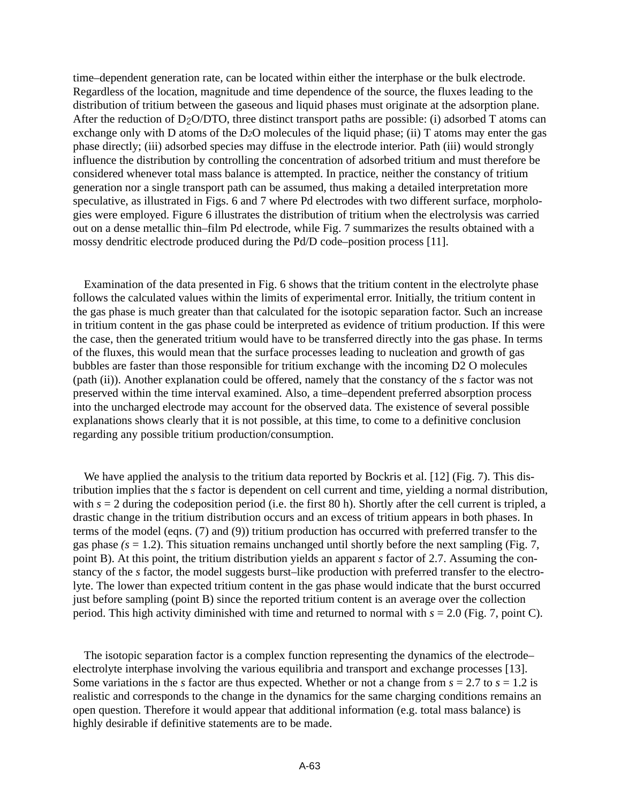time–dependent generation rate, can be located within either the interphase or the bulk electrode. Regardless of the location, magnitude and time dependence of the source, the fluxes leading to the distribution of tritium between the gaseous and liquid phases must originate at the adsorption plane. After the reduction of  $D_2O/DTO$ , three distinct transport paths are possible: (i) adsorbed T atoms can exchange only with D atoms of the D*2*O molecules of the liquid phase; (ii) T atoms may enter the gas phase directly; (iii) adsorbed species may diffuse in the electrode interior. Path (iii) would strongly influence the distribution by controlling the concentration of adsorbed tritium and must therefore be considered whenever total mass balance is attempted. In practice, neither the constancy of tritium generation nor a single transport path can be assumed, thus making a detailed interpretation more speculative, as illustrated in Figs. 6 and 7 where Pd electrodes with two different surface, morphologies were employed. Figure 6 illustrates the distribution of tritium when the electrolysis was carried out on a dense metallic thin–film Pd electrode, while Fig. 7 summarizes the results obtained with a mossy dendritic electrode produced during the Pd/D code–position process [11].

Examination of the data presented in Fig. 6 shows that the tritium content in the electrolyte phase follows the calculated values within the limits of experimental error. Initially, the tritium content in the gas phase is much greater than that calculated for the isotopic separation factor. Such an increase in tritium content in the gas phase could be interpreted as evidence of tritium production. If this were the case, then the generated tritium would have to be transferred directly into the gas phase. In terms of the fluxes, this would mean that the surface processes leading to nucleation and growth of gas bubbles are faster than those responsible for tritium exchange with the incoming D2 O molecules (path (ii)). Another explanation could be offered, namely that the constancy of the *s* factor was not preserved within the time interval examined. Also, a time–dependent preferred absorption process into the uncharged electrode may account for the observed data. The existence of several possible explanations shows clearly that it is not possible, at this time, to come to a definitive conclusion regarding any possible tritium production/consumption.

We have applied the analysis to the tritium data reported by Bockris et al. [12] (Fig. 7). This distribution implies that the *s* factor is dependent on cell current and time, yielding a normal distribution, with  $s = 2$  during the codeposition period (i.e. the first 80 h). Shortly after the cell current is tripled, a drastic change in the tritium distribution occurs and an excess of tritium appears in both phases. In terms of the model (eqns. (7) and (9)) tritium production has occurred with preferred transfer to the gas phase  $(s = 1.2)$ . This situation remains unchanged until shortly before the next sampling (Fig. 7, point B). At this point, the tritium distribution yields an apparent *s* factor of 2.7. Assuming the constancy of the *s* factor, the model suggests burst–like production with preferred transfer to the electrolyte. The lower than expected tritium content in the gas phase would indicate that the burst occurred just before sampling (point B) since the reported tritium content is an average over the collection period. This high activity diminished with time and returned to normal with *s* = 2.0 (Fig. 7, point C).

The isotopic separation factor is a complex function representing the dynamics of the electrode– electrolyte interphase involving the various equilibria and transport and exchange processes [13]. Some variations in the *s* factor are thus expected. Whether or not a change from  $s = 2.7$  to  $s = 1.2$  is realistic and corresponds to the change in the dynamics for the same charging conditions remains an open question. Therefore it would appear that additional information (e.g. total mass balance) is highly desirable if definitive statements are to be made.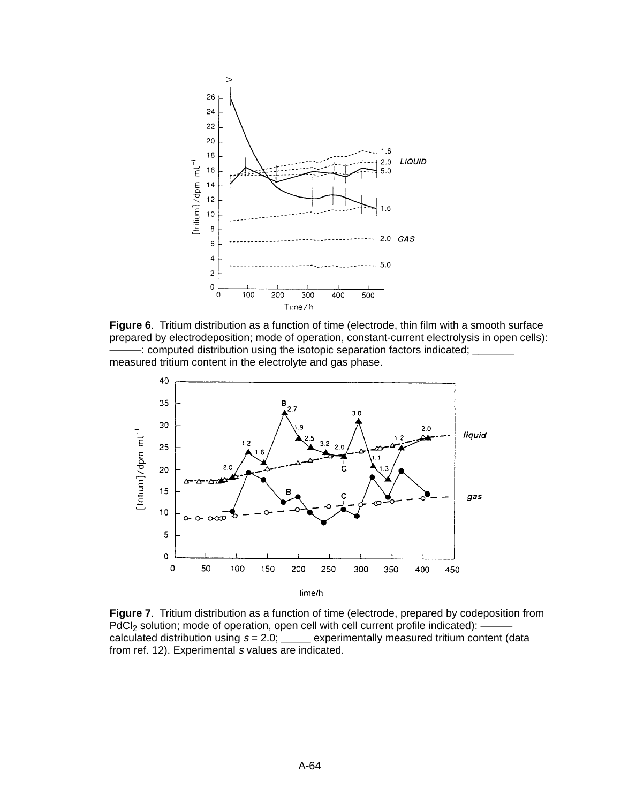

**Figure 6**. Tritium distribution as a function of time (electrode, thin film with a smooth surface prepared by electrodeposition; mode of operation, constant-current electrolysis in open cells): -: computed distribution using the isotopic separation factors indicated;  $\equiv$ measured tritium content in the electrolyte and gas phase.



**Figure 7**. Tritium distribution as a function of time (electrode, prepared by codeposition from PdCl<sub>2</sub> solution; mode of operation, open cell with cell current profile indicated): –<br>calculated distribution using  $s = 2.0$ ; \_\_\_\_\_ experimentally measured tritium con experimentally measured tritium content (data from ref. 12). Experimental s values are indicated.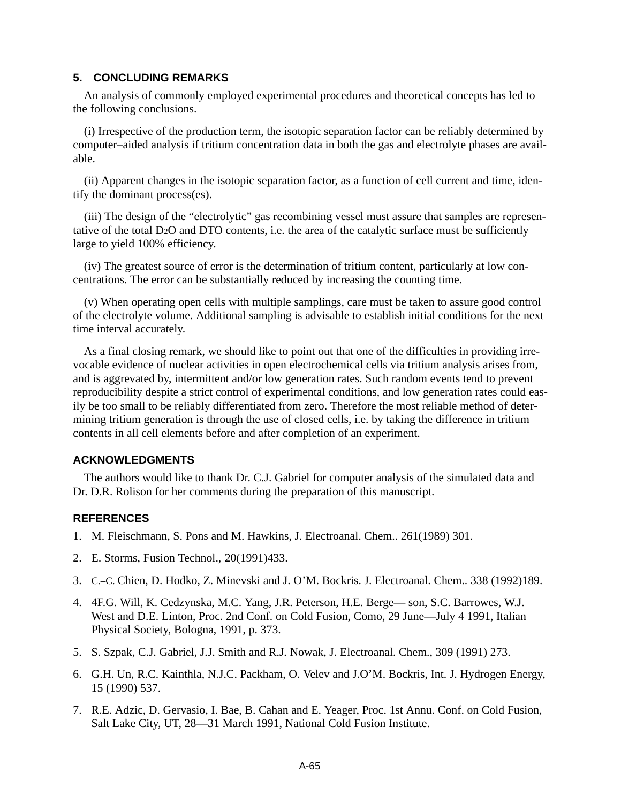# **5. CONCLUDING REMARKS**

An analysis of commonly employed experimental procedures and theoretical concepts has led to the following conclusions.

(i) Irrespective of the production term, the isotopic separation factor can be reliably determined by computer–aided analysis if tritium concentration data in both the gas and electrolyte phases are available.

(ii) Apparent changes in the isotopic separation factor, as a function of cell current and time, identify the dominant process(es).

(iii) The design of the "electrolytic" gas recombining vessel must assure that samples are representative of the total D2O and DTO contents, i.e. the area of the catalytic surface must be sufficiently large to yield 100% efficiency.

(iv) The greatest source of error is the determination of tritium content, particularly at low concentrations. The error can be substantially reduced by increasing the counting time.

(v) When operating open cells with multiple samplings, care must be taken to assure good control of the electrolyte volume. Additional sampling is advisable to establish initial conditions for the next time interval accurately.

As a final closing remark, we should like to point out that one of the difficulties in providing irrevocable evidence of nuclear activities in open electrochemical cells via tritium analysis arises from, and is aggrevated by, intermittent and/or low generation rates. Such random events tend to prevent reproducibility despite a strict control of experimental conditions, and low generation rates could easily be too small to be reliably differentiated from zero. Therefore the most reliable method of determining tritium generation is through the use of closed cells, i.e. by taking the difference in tritium contents in all cell elements before and after completion of an experiment.

# **ACKNOWLEDGMENTS**

The authors would like to thank Dr. C.J. Gabriel for computer analysis of the simulated data and Dr. D.R. Rolison for her comments during the preparation of this manuscript.

# **REFERENCES**

- 1. M. Fleischmann, S. Pons and M. Hawkins, J. Electroanal. Chem.. 261(1989) 301.
- 2. E. Storms, Fusion Technol., 20(1991)433.
- 3. C.–C. Chien, D. Hodko, Z. Minevski and J. O'M. Bockris. J. Electroanal. Chem.. 338 (1992)189.
- 4. 4F.G. Will, K. Cedzynska, M.C. Yang, J.R. Peterson, H.E. Berge— son, S.C. Barrowes, W.J. West and D.E. Linton, Proc. 2nd Conf. on Cold Fusion, Como, 29 June—July 4 1991, Italian Physical Society, Bologna, 1991, p. 373.
- 5. S. Szpak, C.J. Gabriel, J.J. Smith and R.J. Nowak, J. Electroanal. Chem., 309 (1991) 273.
- 6. G.H. Un, R.C. Kainthla, N.J.C. Packham, O. Velev and J.O'M. Bockris, Int. J. Hydrogen Energy, 15 (1990) 537.
- 7. R.E. Adzic, D. Gervasio, I. Bae, B. Cahan and E. Yeager, Proc. 1st Annu. Conf. on Cold Fusion, Salt Lake City, UT, 28—31 March 1991, National Cold Fusion Institute.